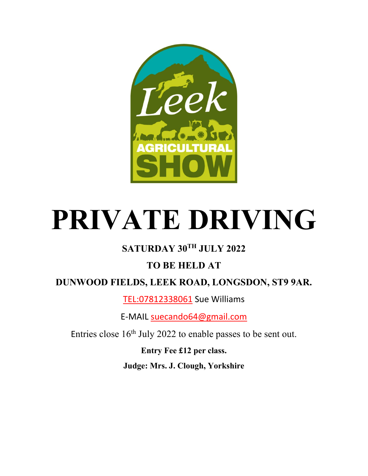

# **PRIVATE DRIVING**

## **SATURDAY 30TH JULY 2022**

## **TO BE HELD AT**

**DUNWOOD FIELDS, LEEK ROAD, LONGSDON, ST9 9AR.**

[TEL:07812338061](tel:07812338061) Sue Williams

E-MAIL [suecando64@gmail.com](mailto:suecando64@gmail.com)

Entries close  $16<sup>th</sup>$  July 2022 to enable passes to be sent out.

**Entry Fee £12 per class. Judge: Mrs. J. Clough, Yorkshire**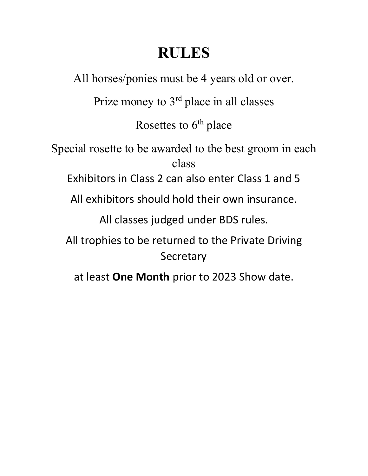# **RULES**

All horses/ponies must be 4 years old or over.

Prize money to 3<sup>rd</sup> place in all classes

Rosettes to  $6<sup>th</sup>$  place

Special rosette to be awarded to the best groom in each class

Exhibitors in Class 2 can also enter Class 1 and 5

All exhibitors should hold their own insurance.

All classes judged under BDS rules.

All trophies to be returned to the Private Driving **Secretary** 

at least **One Month** prior to 2023 Show date.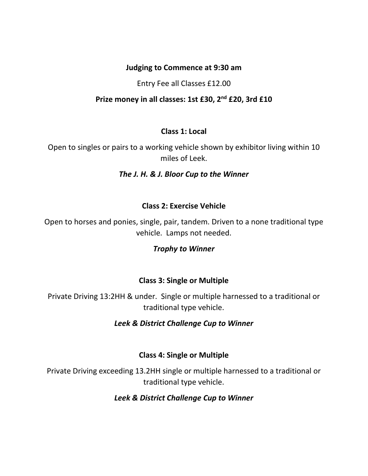#### **Judging to Commence at 9:30 am**

#### Entry Fee all Classes £12.00

#### **Prize money in all classes: 1st £30, 2nd £20, 3rd £10**

#### **Class 1: Local**

Open to singles or pairs to a working vehicle shown by exhibitor living within 10 miles of Leek.

#### *The J. H. & J. Bloor Cup to the Winner*

#### **Class 2: Exercise Vehicle**

Open to horses and ponies, single, pair, tandem. Driven to a none traditional type vehicle. Lamps not needed.

#### *Trophy to Winner*

#### **Class 3: Single or Multiple**

Private Driving 13:2HH & under. Single or multiple harnessed to a traditional or traditional type vehicle.

#### *Leek & District Challenge Cup to Winner*

#### **Class 4: Single or Multiple**

Private Driving exceeding 13.2HH single or multiple harnessed to a traditional or traditional type vehicle.

#### *Leek & District Challenge Cup to Winner*